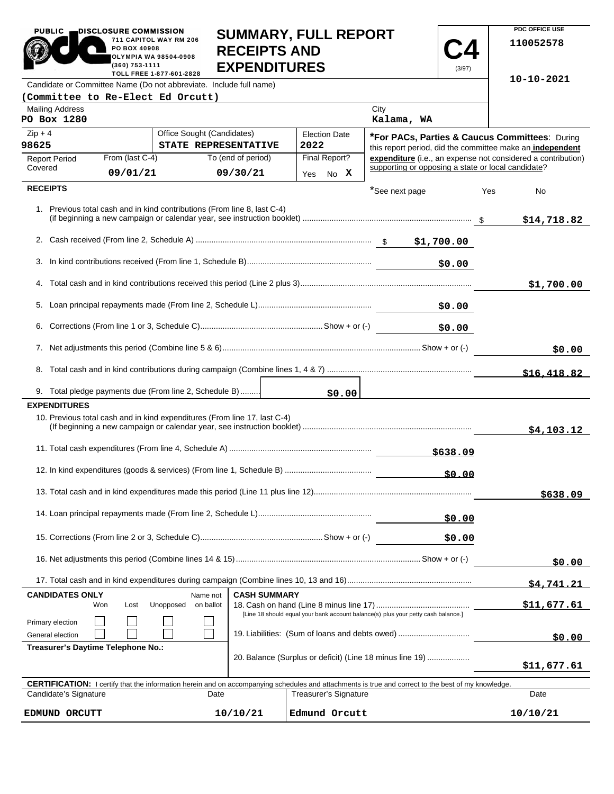| <b>PUBLIC</b>                                                                                                                                              | DISCLOSURE COMMISSION<br>PO BOX 40908<br>(360) 753-1111 | 711 CAPITOL WAY RM 206<br><b>OLYMPIA WA 98504-0908</b><br>TOLL FREE 1-877-601-2828 | <b>SUMMARY, FULL REPORT</b><br><b>RECEIPTS AND</b><br><b>EXPENDITURES</b> |  |          |                       |                                                          | (3/97)      |     | PDC OFFICE USE<br>110052578                                  |
|------------------------------------------------------------------------------------------------------------------------------------------------------------|---------------------------------------------------------|------------------------------------------------------------------------------------|---------------------------------------------------------------------------|--|----------|-----------------------|----------------------------------------------------------|-------------|-----|--------------------------------------------------------------|
| Candidate or Committee Name (Do not abbreviate. Include full name)                                                                                         |                                                         |                                                                                    |                                                                           |  |          |                       |                                                          |             |     | $10 - 10 - 2021$                                             |
| (Committee to Re-Elect Ed Orcutt)                                                                                                                          |                                                         |                                                                                    |                                                                           |  |          |                       |                                                          |             |     |                                                              |
| <b>Mailing Address</b><br>PO Box 1280                                                                                                                      |                                                         |                                                                                    |                                                                           |  |          |                       | City<br>Kalama, WA                                       |             |     |                                                              |
| $Zip + 4$                                                                                                                                                  |                                                         | Office Sought (Candidates)                                                         |                                                                           |  |          | <b>Election Date</b>  | *For PACs, Parties & Caucus Committees: During           |             |     |                                                              |
| 98625                                                                                                                                                      |                                                         | STATE REPRESENTATIVE                                                               |                                                                           |  | 2022     |                       |                                                          |             |     | this report period, did the committee make an independent    |
| <b>Report Period</b><br>Covered                                                                                                                            | From (last C-4)<br>09/01/21                             |                                                                                    | To (end of period)<br>09/30/21                                            |  | Yes      | Final Report?<br>No X | supporting or opposing a state or local candidate?       |             |     | expenditure (i.e., an expense not considered a contribution) |
| <b>RECEIPTS</b>                                                                                                                                            |                                                         |                                                                                    |                                                                           |  |          |                       | *See next page                                           |             |     |                                                              |
| 1. Previous total cash and in kind contributions (From line 8, last C-4)                                                                                   |                                                         |                                                                                    |                                                                           |  |          |                       |                                                          |             | Yes | No<br>\$14,718.82                                            |
|                                                                                                                                                            |                                                         |                                                                                    |                                                                           |  |          |                       |                                                          |             |     |                                                              |
|                                                                                                                                                            |                                                         |                                                                                    |                                                                           |  |          |                       |                                                          |             |     |                                                              |
|                                                                                                                                                            |                                                         |                                                                                    |                                                                           |  |          |                       |                                                          | \$0.00      |     |                                                              |
|                                                                                                                                                            |                                                         |                                                                                    |                                                                           |  |          |                       |                                                          |             |     | \$1,700.00                                                   |
|                                                                                                                                                            |                                                         |                                                                                    |                                                                           |  |          |                       |                                                          |             |     |                                                              |
|                                                                                                                                                            |                                                         |                                                                                    |                                                                           |  |          |                       |                                                          | \$0.00      |     |                                                              |
|                                                                                                                                                            |                                                         |                                                                                    |                                                                           |  |          |                       |                                                          |             |     | \$0.00                                                       |
|                                                                                                                                                            |                                                         |                                                                                    |                                                                           |  |          |                       |                                                          |             |     |                                                              |
|                                                                                                                                                            |                                                         |                                                                                    |                                                                           |  |          |                       |                                                          |             |     | \$16,418.82                                                  |
| 9. Total pledge payments due (From line 2, Schedule B)                                                                                                     |                                                         |                                                                                    |                                                                           |  |          | \$0.00                |                                                          |             |     |                                                              |
| <b>EXPENDITURES</b><br>10. Previous total cash and in kind expenditures (From line 17, last C-4)                                                           |                                                         |                                                                                    |                                                                           |  |          |                       |                                                          |             |     | \$4,103.12                                                   |
|                                                                                                                                                            |                                                         |                                                                                    |                                                                           |  | \$638.09 |                       |                                                          |             |     |                                                              |
|                                                                                                                                                            |                                                         |                                                                                    |                                                                           |  |          |                       |                                                          | \$0.00      |     |                                                              |
|                                                                                                                                                            |                                                         |                                                                                    |                                                                           |  |          |                       |                                                          |             |     | \$638.09                                                     |
|                                                                                                                                                            |                                                         |                                                                                    |                                                                           |  |          |                       |                                                          | \$0.00      |     |                                                              |
|                                                                                                                                                            |                                                         |                                                                                    |                                                                           |  |          |                       |                                                          | \$0.00      |     |                                                              |
|                                                                                                                                                            |                                                         |                                                                                    |                                                                           |  |          |                       |                                                          | \$0.00      |     |                                                              |
|                                                                                                                                                            |                                                         |                                                                                    |                                                                           |  |          |                       |                                                          |             |     | \$4.741.21                                                   |
| <b>CASH SUMMARY</b><br><b>CANDIDATES ONLY</b><br>Name not                                                                                                  |                                                         |                                                                                    |                                                                           |  |          |                       |                                                          |             |     |                                                              |
| Unopposed<br>on ballot<br>Won<br>Lost<br>[Line 18 should equal your bank account balance(s) plus your petty cash balance.]                                 |                                                         |                                                                                    |                                                                           |  |          |                       |                                                          | \$11,677.61 |     |                                                              |
| Primary election<br>General election                                                                                                                       | 19. Liabilities: (Sum of loans and debts owed)          |                                                                                    |                                                                           |  |          |                       |                                                          | \$0.00      |     |                                                              |
| Treasurer's Daytime Telephone No.:                                                                                                                         |                                                         |                                                                                    |                                                                           |  |          |                       | 20. Balance (Surplus or deficit) (Line 18 minus line 19) |             |     | \$11,677.61                                                  |
| <b>CERTIFICATION:</b> I certify that the information herein and on accompanying schedules and attachments is true and correct to the best of my knowledge. |                                                         |                                                                                    |                                                                           |  |          |                       |                                                          |             |     |                                                              |
| Candidate's Signature                                                                                                                                      |                                                         | Date                                                                               |                                                                           |  |          | Treasurer's Signature |                                                          |             |     | Date                                                         |
| EDMUND ORCUTT                                                                                                                                              |                                                         |                                                                                    | 10/10/21                                                                  |  |          | Edmund Orcutt         |                                                          |             |     | 10/10/21                                                     |

**PDC OFFICE USE**